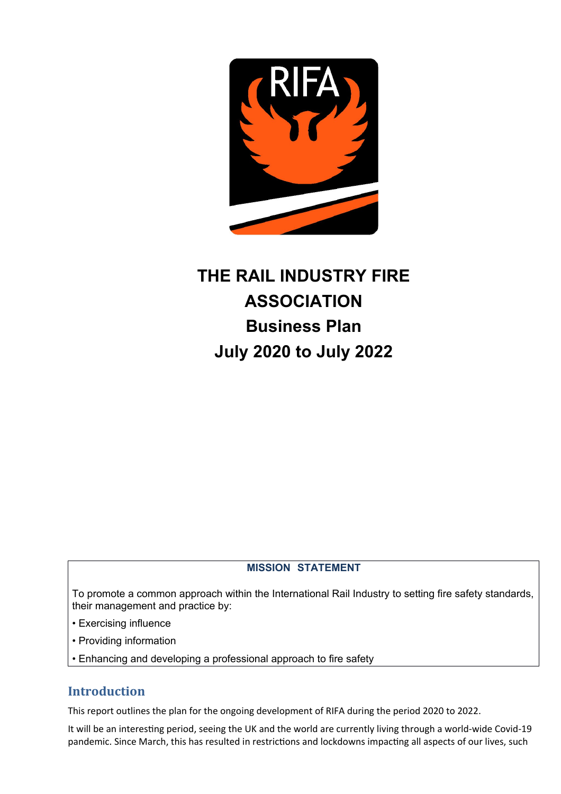

# **THE RAIL INDUSTRY FIRE ASSOCIATION Business Plan July 2020 to July 2022**

#### **MISSION STATEMENT**

To promote a common approach within the International Rail Industry to setting fire safety standards, their management and practice by:

- Exercising influence
- Providing information
- Enhancing and developing a professional approach to fire safety

## **Introduction**

This report outlines the plan for the ongoing development of RIFA during the period 2020 to 2022.

It will be an interestng period, seeing the UK and the world are currently living through a world-wide Covid-19 pandemic. Since March, this has resulted in restrictions and lockdowns impacting all aspects of our lives, such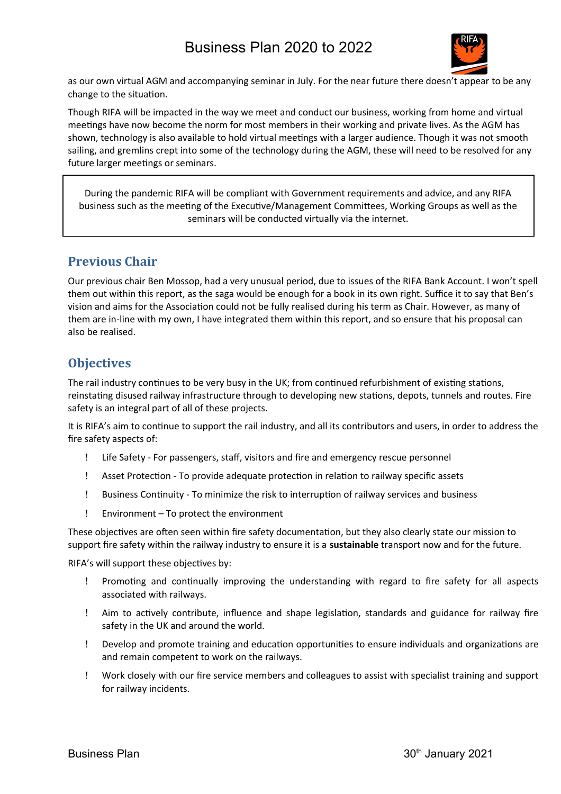

as our own virtual AGM and accompanying seminar in July. For the near future there doesn't appear to be any change to the situation.

Though RIFA will be impacted in the way we meet and conduct our business, working from home and virtual meetings have now become the norm for most members in their working and private lives. As the AGM has shown, technology is also available to hold virtual meetings with a larger audience. Though it was not smooth sailing, and gremlins crept into some of the technology during the AGM, these will need to be resolved for any future larger meetings or seminars.

During the pandemic RIFA will be compliant with Government requirements and advice, and any RIFA business such as the meetng of the Executve/Management Commitees, Working Groups as well as the seminars will be conducted virtually via the internet.

#### **Previous Chair**

Our previous chair Ben Mossop, had a very unusual period, due to issues of the RIFA Bank Account. I won't spell them out within this report, as the saga would be enough for a book in its own right. Suffice it to say that Ben's vision and aims for the Associaton could not be fully realised during his term as Chair. However, as many of them are in-line with my own, I have integrated them within this report, and so ensure that his proposal can also be realised.

## **Objectives**

The rail industry continues to be very busy in the UK; from continued refurbishment of existing stations, reinstating disused railway infrastructure through to developing new stations, depots, tunnels and routes. Fire safety is an integral part of all of these projects.

It is RIFA's aim to continue to support the rail industry, and all its contributors and users, in order to address the fre safety aspects of:

- Life Safety For passengers, staf, visitors and fre and emergency rescue personnel
- Asset Protecton To provide adequate protecton in relaton to railway specifc assets
- Business Contnuity To minimize the risk to interrupton of railway services and business
- Environment To protect the environment

These objectives are often seen within fire safety documentation, but they also clearly state our mission to support fre safety within the railway industry to ensure it is a **sustainable** transport now and for the future.

RIFA's will support these objectives by:

- Promotng and contnually improving the understanding with regard to fre safety for all aspects associated with railways.
- ! Aim to actively contribute, influence and shape legislation, standards and guidance for railway fire safety in the UK and around the world.
- Develop and promote training and educaton opportunites to ensure individuals and organizatons are and remain competent to work on the railways.
- Work closely with our fre service members and colleagues to assist with specialist training and support for railway incidents.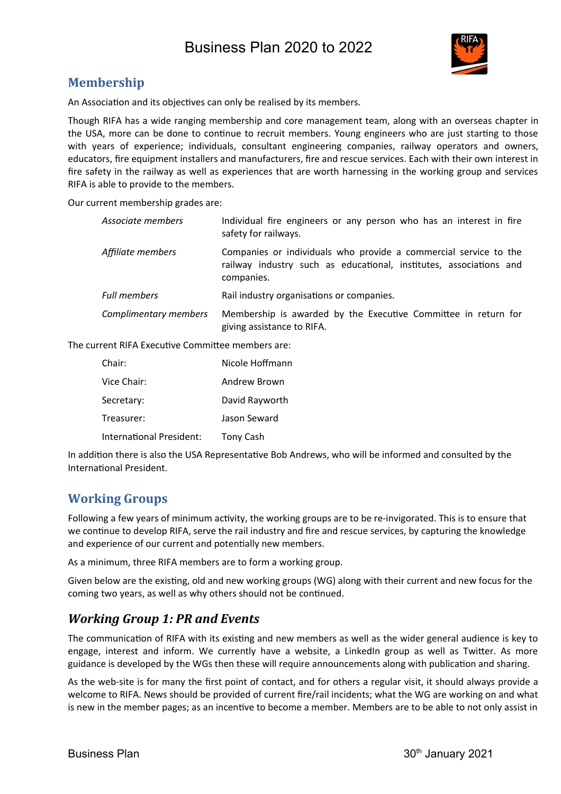

## **Membership**

An Association and its objectives can only be realised by its members.

Though RIFA has a wide ranging membership and core management team, along with an overseas chapter in the USA, more can be done to continue to recruit members. Young engineers who are just starting to those with years of experience; individuals, consultant engineering companies, railway operators and owners, educators, fre equipment installers and manufacturers, fre and rescue services. Each with their own interest in fre safety in the railway as well as experiences that are worth harnessing in the working group and services RIFA is able to provide to the members.

Our current membership grades are:

| Associate members     | Individual fire engineers or any person who has an interest in fire<br>safety for railways.                                                          |
|-----------------------|------------------------------------------------------------------------------------------------------------------------------------------------------|
| Affiliate members     | Companies or individuals who provide a commercial service to the<br>railway industry such as educational, institutes, associations and<br>companies. |
| <b>Full members</b>   | Rail industry organisations or companies.                                                                                                            |
| Complimentary members | Membership is awarded by the Executive Committee in return for<br>giving assistance to RIFA.                                                         |

The current RIFA Executve Commitee members are:

| Chair:                   | Nicole Hoffmann |
|--------------------------|-----------------|
| Vice Chair:              | Andrew Brown    |
| Secretary:               | David Rayworth  |
| Treasurer:               | Jason Seward    |
| International President: | Tony Cash       |

In additon there is also the USA Representatve Bob Andrews, who will be informed and consulted by the Internatonal President.

## **Working Groups**

Following a few years of minimum activity, the working groups are to be re-invigorated. This is to ensure that we continue to develop RIFA, serve the rail industry and fire and rescue services, by capturing the knowledge and experience of our current and potentally new members.

As a minimum, three RIFA members are to form a working group.

Given below are the existng, old and new working groups (WG) along with their current and new focus for the coming two years, as well as why others should not be contnued.

## *Working Group 1: PR and Events*

The communication of RIFA with its existing and new members as well as the wider general audience is key to engage, interest and inform. We currently have a website, a LinkedIn group as well as Twiter. As more guidance is developed by the WGs then these will require announcements along with publicaton and sharing.

As the web-site is for many the frst point of contact, and for others a regular visit, it should always provide a welcome to RIFA. News should be provided of current fre/rail incidents; what the WG are working on and what is new in the member pages; as an incentve to become a member. Members are to be able to not only assist in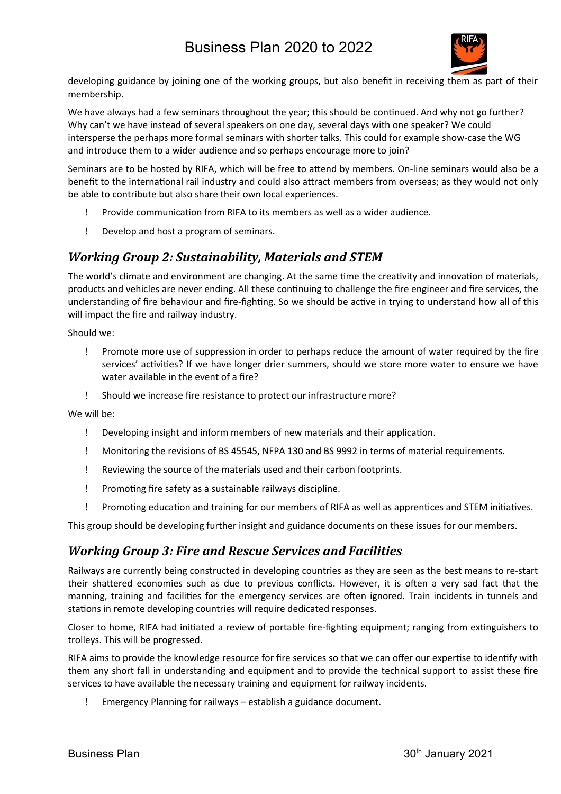

developing guidance by joining one of the working groups, but also benefit in receiving them as part of their membership.

We have always had a few seminars throughout the year; this should be continued. And why not go further? Why can't we have instead of several speakers on one day, several days with one speaker? We could intersperse the perhaps more formal seminars with shorter talks. This could for example show-case the WG and introduce them to a wider audience and so perhaps encourage more to join?

Seminars are to be hosted by RIFA, which will be free to attend by members. On-line seminars would also be a beneft to the internatonal rail industry and could also atract members from overseas; as they would not only be able to contribute but also share their own local experiences.

- Provide communicaton from RIFA to its members as well as a wider audience.
- Develop and host a program of seminars.

## *Working Group 2: Sustainability, Materials and STEM*

The world's climate and environment are changing. At the same time the creativity and innovation of materials, products and vehicles are never ending. All these contnuing to challenge the fre engineer and fre services, the understanding of fire behaviour and fire-fighting. So we should be active in trying to understand how all of this will impact the fire and railway industry.

Should we:

- Promote more use of suppression in order to perhaps reduce the amount of water required by the fre services' activities? If we have longer drier summers, should we store more water to ensure we have water available in the event of a fire?
- Should we increase fre resistance to protect our infrastructure more?

We will be:

- Developing insight and inform members of new materials and their applicaton.
- Monitoring the revisions of BS 45545, NFPA 130 and BS 9992 in terms of material requirements.
- Reviewing the source of the materials used and their carbon footprints.
- ! Promoting fire safety as a sustainable railways discipline.
- Promotng educaton and training for our members of RIFA as well as apprentces and STEM initatves.

This group should be developing further insight and guidance documents on these issues for our members.

## *Working Group 3: Fire and Rescue Services and Facilities*

Railways are currently being constructed in developing countries as they are seen as the best means to re-start their shatered economies such as due to previous conficts. However, it is ofen a very sad fact that the manning, training and facilites for the emergency services are ofen ignored. Train incidents in tunnels and stations in remote developing countries will require dedicated responses.

Closer to home, RIFA had initiated a review of portable fire-fighting equipment; ranging from extinguishers to trolleys. This will be progressed.

RIFA aims to provide the knowledge resource for fre services so that we can ofer our expertse to identfy with them any short fall in understanding and equipment and to provide the technical support to assist these fre services to have available the necessary training and equipment for railway incidents.

Emergency Planning for railways – establish a guidance document.